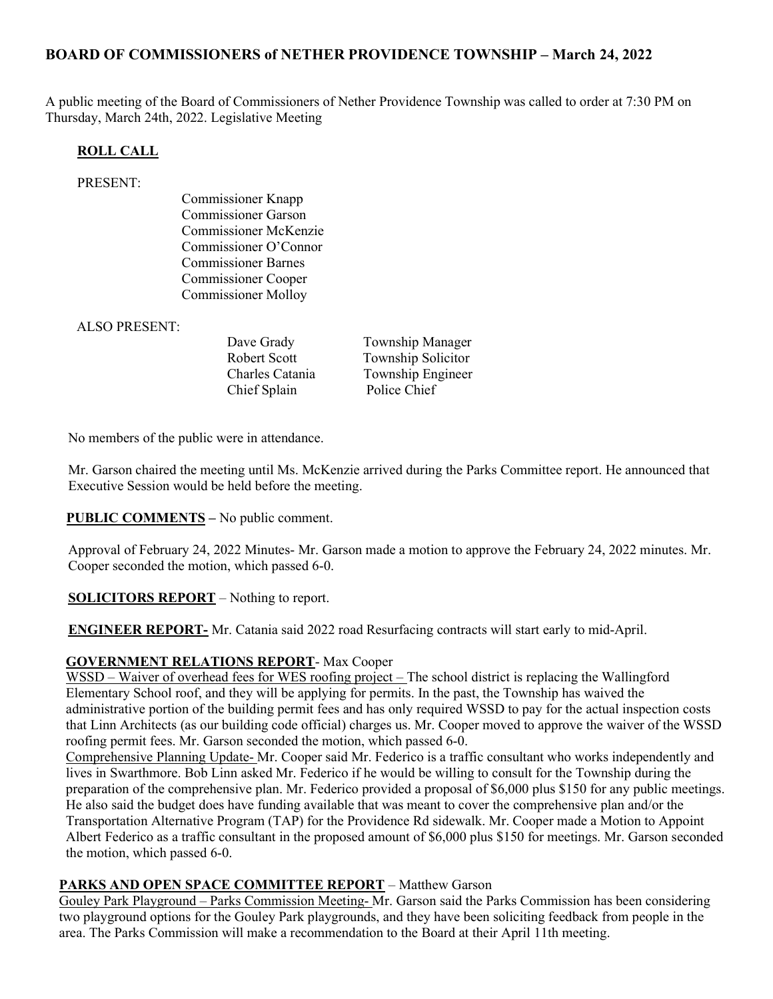# BOARD OF COMMISSIONERS of NETHER PROVIDENCE TOWNSHIP – March 24, 2022

A public meeting of the Board of Commissioners of Nether Providence Township was called to order at 7:30 PM on Thursday, March 24th, 2022. Legislative Meeting

## ROLL CALL

### PRESENT:

Commissioner Knapp Commissioner Garson Commissioner McKenzie Commissioner O'Connor Commissioner Barnes Commissioner Cooper Commissioner Molloy

ALSO PRESENT:

Chief Splain Police Chief

Dave Grady Township Manager Robert Scott Township Solicitor Charles Catania Township Engineer

No members of the public were in attendance.

Mr. Garson chaired the meeting until Ms. McKenzie arrived during the Parks Committee report. He announced that Executive Session would be held before the meeting.

**PUBLIC COMMENTS** – No public comment.

Approval of February 24, 2022 Minutes- Mr. Garson made a motion to approve the February 24, 2022 minutes. Mr. Cooper seconded the motion, which passed 6-0.

SOLICITORS REPORT – Nothing to report.

ENGINEER REPORT- Mr. Catania said 2022 road Resurfacing contracts will start early to mid-April.

# GOVERNMENT RELATIONS REPORT- Max Cooper

WSSD – Waiver of overhead fees for WES roofing project – The school district is replacing the Wallingford Elementary School roof, and they will be applying for permits. In the past, the Township has waived the administrative portion of the building permit fees and has only required WSSD to pay for the actual inspection costs that Linn Architects (as our building code official) charges us. Mr. Cooper moved to approve the waiver of the WSSD roofing permit fees. Mr. Garson seconded the motion, which passed 6-0.

Comprehensive Planning Update- Mr. Cooper said Mr. Federico is a traffic consultant who works independently and lives in Swarthmore. Bob Linn asked Mr. Federico if he would be willing to consult for the Township during the preparation of the comprehensive plan. Mr. Federico provided a proposal of \$6,000 plus \$150 for any public meetings. He also said the budget does have funding available that was meant to cover the comprehensive plan and/or the Transportation Alternative Program (TAP) for the Providence Rd sidewalk. Mr. Cooper made a Motion to Appoint Albert Federico as a traffic consultant in the proposed amount of \$6,000 plus \$150 for meetings. Mr. Garson seconded the motion, which passed 6-0.

### PARKS AND OPEN SPACE COMMITTEE REPORT - Matthew Garson

Gouley Park Playground – Parks Commission Meeting- Mr. Garson said the Parks Commission has been considering two playground options for the Gouley Park playgrounds, and they have been soliciting feedback from people in the area. The Parks Commission will make a recommendation to the Board at their April 11th meeting.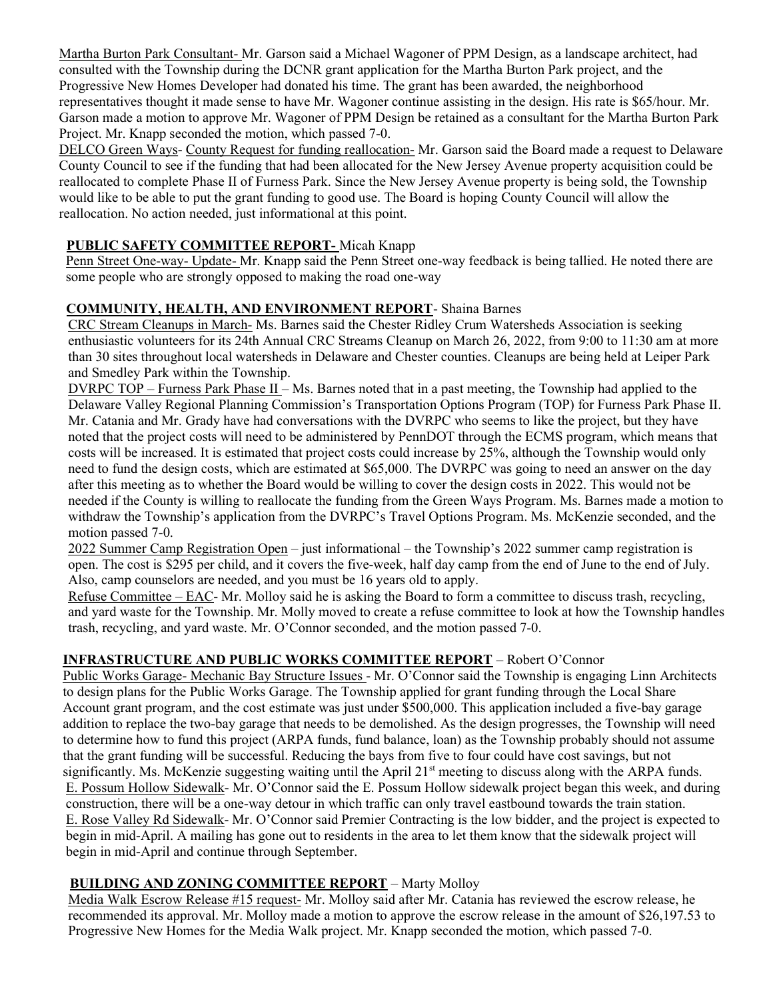Martha Burton Park Consultant- Mr. Garson said a Michael Wagoner of PPM Design, as a landscape architect, had consulted with the Township during the DCNR grant application for the Martha Burton Park project, and the Progressive New Homes Developer had donated his time. The grant has been awarded, the neighborhood representatives thought it made sense to have Mr. Wagoner continue assisting in the design. His rate is \$65/hour. Mr. Garson made a motion to approve Mr. Wagoner of PPM Design be retained as a consultant for the Martha Burton Park Project. Mr. Knapp seconded the motion, which passed 7-0.

DELCO Green Ways- County Request for funding reallocation- Mr. Garson said the Board made a request to Delaware County Council to see if the funding that had been allocated for the New Jersey Avenue property acquisition could be reallocated to complete Phase II of Furness Park. Since the New Jersey Avenue property is being sold, the Township would like to be able to put the grant funding to good use. The Board is hoping County Council will allow the reallocation. No action needed, just informational at this point.

## PUBLIC SAFETY COMMITTEE REPORT- Micah Knapp

Penn Street One-way- Update- Mr. Knapp said the Penn Street one-way feedback is being tallied. He noted there are some people who are strongly opposed to making the road one-way

## COMMUNITY, HEALTH, AND ENVIRONMENT REPORT- Shaina Barnes

CRC Stream Cleanups in March- Ms. Barnes said the Chester Ridley Crum Watersheds Association is seeking enthusiastic volunteers for its 24th Annual CRC Streams Cleanup on March 26, 2022, from 9:00 to 11:30 am at more than 30 sites throughout local watersheds in Delaware and Chester counties. Cleanups are being held at Leiper Park and Smedley Park within the Township.

DVRPC TOP – Furness Park Phase II – Ms. Barnes noted that in a past meeting, the Township had applied to the Delaware Valley Regional Planning Commission's Transportation Options Program (TOP) for Furness Park Phase II. Mr. Catania and Mr. Grady have had conversations with the DVRPC who seems to like the project, but they have noted that the project costs will need to be administered by PennDOT through the ECMS program, which means that costs will be increased. It is estimated that project costs could increase by 25%, although the Township would only need to fund the design costs, which are estimated at \$65,000. The DVRPC was going to need an answer on the day after this meeting as to whether the Board would be willing to cover the design costs in 2022. This would not be needed if the County is willing to reallocate the funding from the Green Ways Program. Ms. Barnes made a motion to withdraw the Township's application from the DVRPC's Travel Options Program. Ms. McKenzie seconded, and the motion passed 7-0.

2022 Summer Camp Registration Open – just informational – the Township's 2022 summer camp registration is open. The cost is \$295 per child, and it covers the five-week, half day camp from the end of June to the end of July. Also, camp counselors are needed, and you must be 16 years old to apply.

Refuse Committee – EAC- Mr. Molloy said he is asking the Board to form a committee to discuss trash, recycling, and yard waste for the Township. Mr. Molly moved to create a refuse committee to look at how the Township handles trash, recycling, and yard waste. Mr. O'Connor seconded, and the motion passed 7-0.

# INFRASTRUCTURE AND PUBLIC WORKS COMMITTEE REPORT – Robert O'Connor

Public Works Garage- Mechanic Bay Structure Issues - Mr. O'Connor said the Township is engaging Linn Architects to design plans for the Public Works Garage. The Township applied for grant funding through the Local Share Account grant program, and the cost estimate was just under \$500,000. This application included a five-bay garage addition to replace the two-bay garage that needs to be demolished. As the design progresses, the Township will need to determine how to fund this project (ARPA funds, fund balance, loan) as the Township probably should not assume that the grant funding will be successful. Reducing the bays from five to four could have cost savings, but not significantly. Ms. McKenzie suggesting waiting until the April  $21<sup>st</sup>$  meeting to discuss along with the ARPA funds. E. Possum Hollow Sidewalk- Mr. O'Connor said the E. Possum Hollow sidewalk project began this week, and during construction, there will be a one-way detour in which traffic can only travel eastbound towards the train station. E. Rose Valley Rd Sidewalk- Mr. O'Connor said Premier Contracting is the low bidder, and the project is expected to begin in mid-April. A mailing has gone out to residents in the area to let them know that the sidewalk project will begin in mid-April and continue through September.

### BUILDING AND ZONING COMMITTEE REPORT – Marty Molloy

Media Walk Escrow Release #15 request- Mr. Molloy said after Mr. Catania has reviewed the escrow release, he recommended its approval. Mr. Molloy made a motion to approve the escrow release in the amount of \$26,197.53 to Progressive New Homes for the Media Walk project. Mr. Knapp seconded the motion, which passed 7-0.